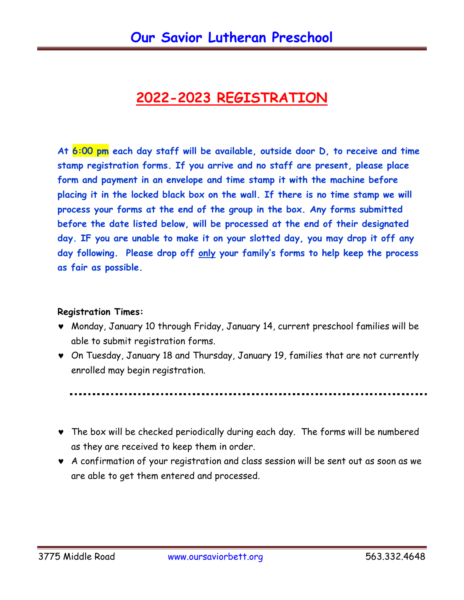## **2022-2023 REGISTRATION**

**At 6:00 pm each day staff will be available, outside door D, to receive and time stamp registration forms. If you arrive and no staff are present, please place form and payment in an envelope and time stamp it with the machine before placing it in the locked black box on the wall. If there is no time stamp we will process your forms at the end of the group in the box. Any forms submitted before the date listed below, will be processed at the end of their designated day. IF you are unable to make it on your slotted day, you may drop it off any day following. Please drop off only your family's forms to help keep the process as fair as possible.**

## **Registration Times:**

- Monday, January 10 through Friday, January 14, current preschool families will be able to submit registration forms.
- On Tuesday, January 18 and Thursday, January 19, families that are not currently enrolled may begin registration.

- The box will be checked periodically during each day. The forms will be numbered as they are received to keep them in order.
- A confirmation of your registration and class session will be sent out as soon as we are able to get them entered and processed.